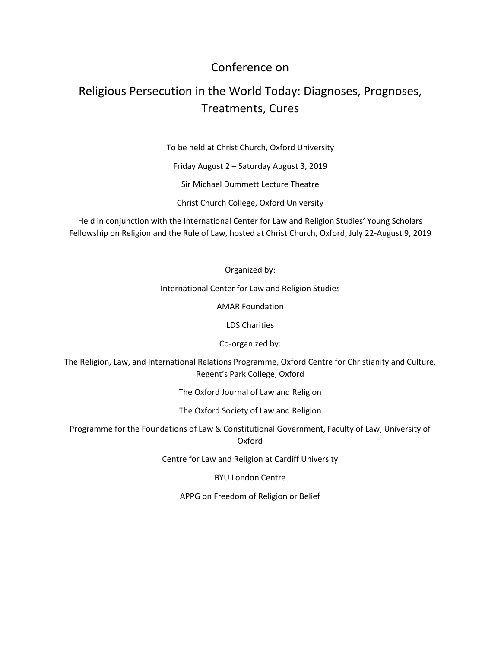## Conference on

## Religious Persecution in the World Today: Diagnoses, Prognoses, Treatments, Cures

To be held at Christ Church, Oxford University

Friday August 2 – Saturday August 3, 2019

Sir Michael Dummett Lecture Theatre

Christ Church College, Oxford University

Held in conjunction with the International Center for Law and Religion Studies' Young Scholars Fellowship on Religion and the Rule of Law, hosted at Christ Church, Oxford, July 22-August 9, 2019

Organized by:

International Center for Law and Religion Studies

AMAR Foundation

LDS Charities

Co-organized by:

The Religion, Law, and International Relations Programme, Oxford Centre for Christianity and Culture, Regent's Park College, Oxford

The Oxford Journal of Law and Religion

The Oxford Society of Law and Religion

Programme for the Foundations of Law & Constitutional Government, Faculty of Law, University of Oxford

Centre for Law and Religion at Cardiff University

BYU London Centre

APPG on Freedom of Religion or Belief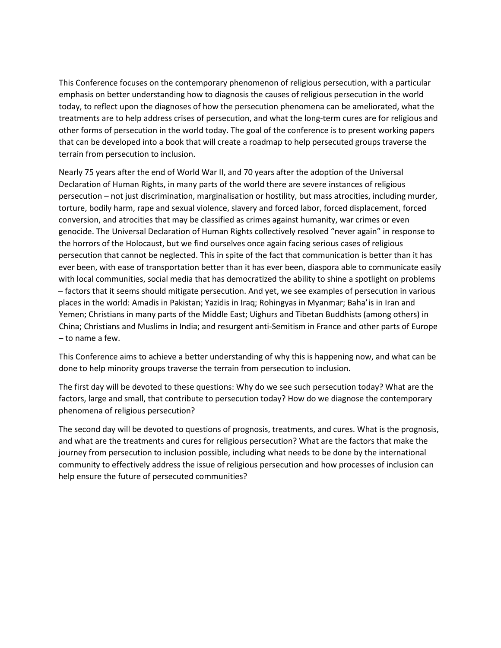This Conference focuses on the contemporary phenomenon of religious persecution, with a particular emphasis on better understanding how to diagnosis the causes of religious persecution in the world today, to reflect upon the diagnoses of how the persecution phenomena can be ameliorated, what the treatments are to help address crises of persecution, and what the long-term cures are for religious and other forms of persecution in the world today. The goal of the conference is to present working papers that can be developed into a book that will create a roadmap to help persecuted groups traverse the terrain from persecution to inclusion.

Nearly 75 years after the end of World War II, and 70 years after the adoption of the Universal Declaration of Human Rights, in many parts of the world there are severe instances of religious persecution – not just discrimination, marginalisation or hostility, but mass atrocities, including murder, torture, bodily harm, rape and sexual violence, slavery and forced labor, forced displacement, forced conversion, and atrocities that may be classified as crimes against humanity, war crimes or even genocide. The Universal Declaration of Human Rights collectively resolved "never again" in response to the horrors of the Holocaust, but we find ourselves once again facing serious cases of religious persecution that cannot be neglected. This in spite of the fact that communication is better than it has ever been, with ease of transportation better than it has ever been, diaspora able to communicate easily with local communities, social media that has democratized the ability to shine a spotlight on problems – factors that it seems should mitigate persecution. And yet, we see examples of persecution in various places in the world: Amadis in Pakistan; Yazidis in Iraq; Rohingyas in Myanmar; Baha'is in Iran and Yemen; Christians in many parts of the Middle East; Uighurs and Tibetan Buddhists (among others) in China; Christians and Muslims in India; and resurgent anti-Semitism in France and other parts of Europe – to name a few.

This Conference aims to achieve a better understanding of why this is happening now, and what can be done to help minority groups traverse the terrain from persecution to inclusion.

The first day will be devoted to these questions: Why do we see such persecution today? What are the factors, large and small, that contribute to persecution today? How do we diagnose the contemporary phenomena of religious persecution?

The second day will be devoted to questions of prognosis, treatments, and cures. What is the prognosis, and what are the treatments and cures for religious persecution? What are the factors that make the journey from persecution to inclusion possible, including what needs to be done by the international community to effectively address the issue of religious persecution and how processes of inclusion can help ensure the future of persecuted communities?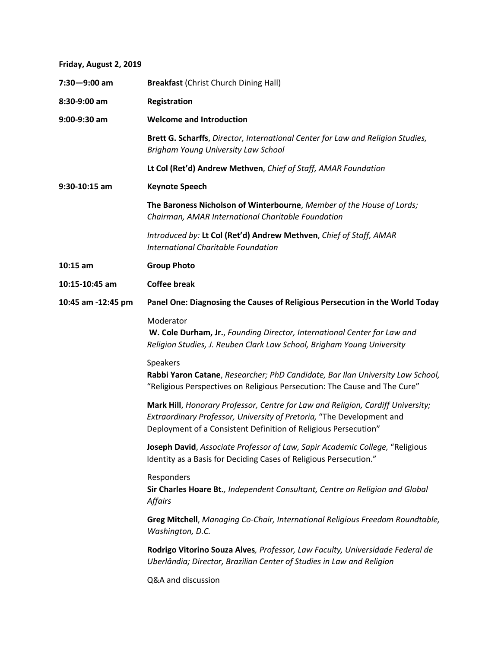**Friday, August 2, 2019**

| $7:30 - 9:00$ am   | <b>Breakfast (Christ Church Dining Hall)</b>                                                                                                                                                                                |
|--------------------|-----------------------------------------------------------------------------------------------------------------------------------------------------------------------------------------------------------------------------|
| 8:30-9:00 am       | Registration                                                                                                                                                                                                                |
| 9:00-9:30 am       | <b>Welcome and Introduction</b>                                                                                                                                                                                             |
|                    | Brett G. Scharffs, Director, International Center for Law and Religion Studies,<br>Brigham Young University Law School                                                                                                      |
|                    | Lt Col (Ret'd) Andrew Methven, Chief of Staff, AMAR Foundation                                                                                                                                                              |
| 9:30-10:15 am      | <b>Keynote Speech</b>                                                                                                                                                                                                       |
|                    | The Baroness Nicholson of Winterbourne, Member of the House of Lords;<br>Chairman, AMAR International Charitable Foundation                                                                                                 |
|                    | Introduced by: Lt Col (Ret'd) Andrew Methven, Chief of Staff, AMAR<br><b>International Charitable Foundation</b>                                                                                                            |
| $10:15$ am         | <b>Group Photo</b>                                                                                                                                                                                                          |
| 10:15-10:45 am     | <b>Coffee break</b>                                                                                                                                                                                                         |
| 10:45 am -12:45 pm | Panel One: Diagnosing the Causes of Religious Persecution in the World Today                                                                                                                                                |
|                    | Moderator<br>W. Cole Durham, Jr., Founding Director, International Center for Law and<br>Religion Studies, J. Reuben Clark Law School, Brigham Young University                                                             |
|                    | Speakers<br>Rabbi Yaron Catane, Researcher; PhD Candidate, Bar Ilan University Law School,<br>"Religious Perspectives on Religious Persecution: The Cause and The Cure"                                                     |
|                    | Mark Hill, Honorary Professor, Centre for Law and Religion, Cardiff University;<br>Extraordinary Professor, University of Pretoria, "The Development and<br>Deployment of a Consistent Definition of Religious Persecution" |
|                    | Joseph David, Associate Professor of Law, Sapir Academic College, "Religious<br>Identity as a Basis for Deciding Cases of Religious Persecution."                                                                           |
|                    | Responders<br>Sir Charles Hoare Bt., Independent Consultant, Centre on Religion and Global<br><b>Affairs</b>                                                                                                                |
|                    | Greg Mitchell, Managing Co-Chair, International Religious Freedom Roundtable,<br>Washington, D.C.                                                                                                                           |
|                    | Rodrigo Vitorino Souza Alves, Professor, Law Faculty, Universidade Federal de<br>Uberlândia; Director, Brazilian Center of Studies in Law and Religion                                                                      |
|                    | Q&A and discussion                                                                                                                                                                                                          |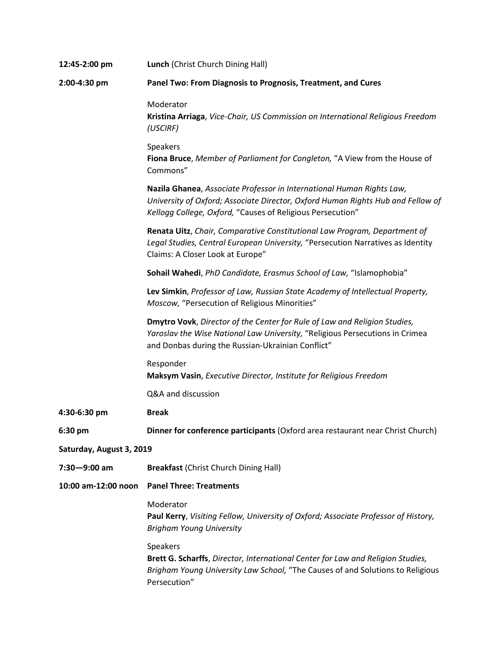| 12:45-2:00 pm            | Lunch (Christ Church Dining Hall)                                                                                                                                                                                      |  |
|--------------------------|------------------------------------------------------------------------------------------------------------------------------------------------------------------------------------------------------------------------|--|
| 2:00-4:30 pm             | Panel Two: From Diagnosis to Prognosis, Treatment, and Cures                                                                                                                                                           |  |
|                          | Moderator<br>Kristina Arriaga, Vice-Chair, US Commission on International Religious Freedom<br>(USCIRF)                                                                                                                |  |
|                          | Speakers<br>Fiona Bruce, Member of Parliament for Congleton, "A View from the House of<br>Commons"                                                                                                                     |  |
|                          | Nazila Ghanea, Associate Professor in International Human Rights Law,<br>University of Oxford; Associate Director, Oxford Human Rights Hub and Fellow of<br>Kellogg College, Oxford, "Causes of Religious Persecution" |  |
|                          | Renata Uitz, Chair, Comparative Constitutional Law Program, Department of<br>Legal Studies, Central European University, "Persecution Narratives as Identity<br>Claims: A Closer Look at Europe"                       |  |
|                          | Sohail Wahedi, PhD Candidate, Erasmus School of Law, "Islamophobia"                                                                                                                                                    |  |
|                          | Lev Simkin, Professor of Law, Russian State Academy of Intellectual Property,<br>Moscow, "Persecution of Religious Minorities"                                                                                         |  |
|                          | Dmytro Vovk, Director of the Center for Rule of Law and Religion Studies,<br>Yaroslav the Wise National Law University, "Religious Persecutions in Crimea<br>and Donbas during the Russian-Ukrainian Conflict"         |  |
|                          | Responder<br>Maksym Vasin, Executive Director, Institute for Religious Freedom                                                                                                                                         |  |
|                          | Q&A and discussion                                                                                                                                                                                                     |  |
| 4:30-6:30 pm             | <b>Break</b>                                                                                                                                                                                                           |  |
| 6:30 pm                  | Dinner for conference participants (Oxford area restaurant near Christ Church)                                                                                                                                         |  |
| Saturday, August 3, 2019 |                                                                                                                                                                                                                        |  |
| $7:30 - 9:00$ am         | <b>Breakfast (Christ Church Dining Hall)</b>                                                                                                                                                                           |  |
| 10:00 am-12:00 noon      | <b>Panel Three: Treatments</b>                                                                                                                                                                                         |  |
|                          | Moderator<br>Paul Kerry, Visiting Fellow, University of Oxford; Associate Professor of History,<br><b>Brigham Young University</b>                                                                                     |  |
|                          | Speakers<br>Brett G. Scharffs, Director, International Center for Law and Religion Studies,<br>Brigham Young University Law School, "The Causes of and Solutions to Religious<br>Persecution"                          |  |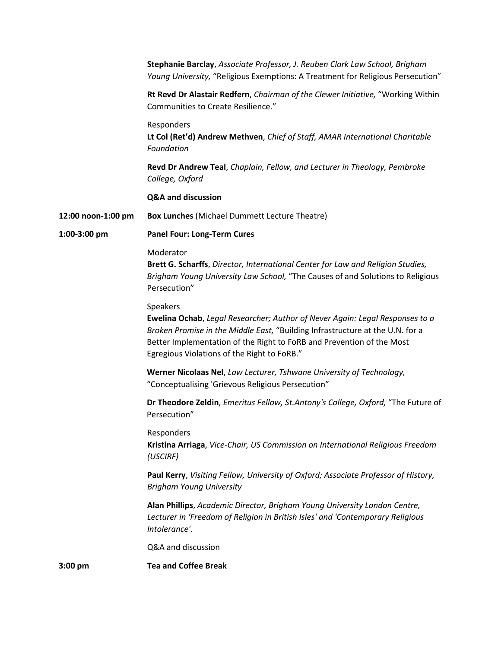|                    | Stephanie Barclay, Associate Professor, J. Reuben Clark Law School, Brigham<br>Young University, "Religious Exemptions: A Treatment for Religious Persecution"                                                                                                                                    |
|--------------------|---------------------------------------------------------------------------------------------------------------------------------------------------------------------------------------------------------------------------------------------------------------------------------------------------|
|                    | Rt Revd Dr Alastair Redfern, Chairman of the Clewer Initiative, "Working Within<br>Communities to Create Resilience."                                                                                                                                                                             |
|                    | Responders<br>Lt Col (Ret'd) Andrew Methven, Chief of Staff, AMAR International Charitable<br>Foundation                                                                                                                                                                                          |
|                    | Revd Dr Andrew Teal, Chaplain, Fellow, and Lecturer in Theology, Pembroke<br>College, Oxford                                                                                                                                                                                                      |
|                    | <b>Q&amp;A and discussion</b>                                                                                                                                                                                                                                                                     |
| 12:00 noon-1:00 pm | <b>Box Lunches (Michael Dummett Lecture Theatre)</b>                                                                                                                                                                                                                                              |
| 1:00-3:00 pm       | <b>Panel Four: Long-Term Cures</b>                                                                                                                                                                                                                                                                |
|                    | Moderator<br>Brett G. Scharffs, Director, International Center for Law and Religion Studies,<br>Brigham Young University Law School, "The Causes of and Solutions to Religious<br>Persecution"                                                                                                    |
|                    | Speakers<br>Ewelina Ochab, Legal Researcher; Author of Never Again: Legal Responses to a<br>Broken Promise in the Middle East, "Building Infrastructure at the U.N. for a<br>Better Implementation of the Right to FoRB and Prevention of the Most<br>Egregious Violations of the Right to FoRB." |
|                    | Werner Nicolaas Nel, Law Lecturer, Tshwane University of Technology,<br>"Conceptualising 'Grievous Religious Persecution"                                                                                                                                                                         |
|                    | Dr Theodore Zeldin, Emeritus Fellow, St.Antony's College, Oxford, "The Future of<br>Persecution"                                                                                                                                                                                                  |
|                    | Responders<br>Kristina Arriaga, Vice-Chair, US Commission on International Religious Freedom<br>(USCIRF)                                                                                                                                                                                          |
|                    | Paul Kerry, Visiting Fellow, University of Oxford; Associate Professor of History,<br><b>Brigham Young University</b>                                                                                                                                                                             |
|                    | Alan Phillips, Academic Director, Brigham Young University London Centre,<br>Lecturer in 'Freedom of Religion in British Isles' and 'Contemporary Religious<br>Intolerance'.                                                                                                                      |
|                    | Q&A and discussion                                                                                                                                                                                                                                                                                |
| $3:00$ pm          | <b>Tea and Coffee Break</b>                                                                                                                                                                                                                                                                       |